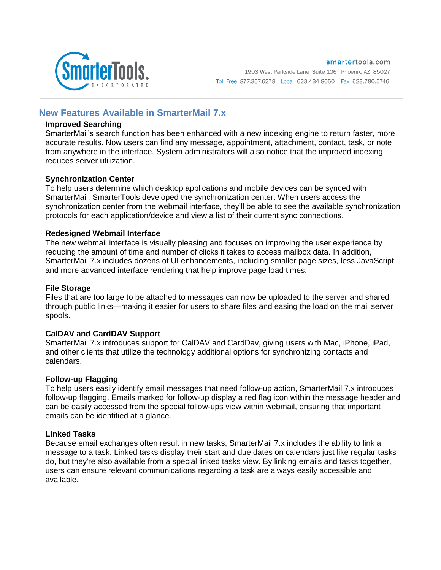

# **New Features Available in SmarterMail 7.x**

### **Improved Searching**

SmarterMail's search function has been enhanced with a new indexing engine to return faster, more accurate results. Now users can find any message, appointment, attachment, contact, task, or note from anywhere in the interface. System administrators will also notice that the improved indexing reduces server utilization.

### **Synchronization Center**

To help users determine which desktop applications and mobile devices can be synced with SmarterMail, SmarterTools developed the synchronization center. When users access the synchronization center from the webmail interface, they'll be able to see the available synchronization protocols for each application/device and view a list of their current sync connections.

### **Redesigned Webmail Interface**

The new webmail interface is visually pleasing and focuses on improving the user experience by reducing the amount of time and number of clicks it takes to access mailbox data. In addition, SmarterMail 7.x includes dozens of UI enhancements, including smaller page sizes, less JavaScript, and more advanced interface rendering that help improve page load times.

### **File Storage**

Files that are too large to be attached to messages can now be uploaded to the server and shared through public links—making it easier for users to share files and easing the load on the mail server spools.

### **CalDAV and CardDAV Support**

SmarterMail 7.x introduces support for CalDAV and CardDav, giving users with Mac, iPhone, iPad, and other clients that utilize the technology additional options for synchronizing contacts and calendars.

#### **Follow-up Flagging**

To help users easily identify email messages that need follow-up action, SmarterMail 7.x introduces follow-up flagging. Emails marked for follow-up display a red flag icon within the message header and can be easily accessed from the special follow-ups view within webmail, ensuring that important emails can be identified at a glance.

### **Linked Tasks**

Because email exchanges often result in new tasks, SmarterMail 7.x includes the ability to link a message to a task. Linked tasks display their start and due dates on calendars just like regular tasks do, but they're also available from a special linked tasks view. By linking emails and tasks together, users can ensure relevant communications regarding a task are always easily accessible and available.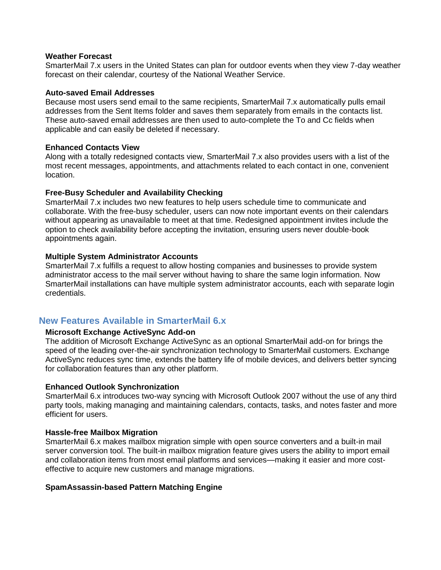#### **Weather Forecast**

SmarterMail 7.x users in the United States can plan for outdoor events when they view 7-day weather forecast on their calendar, courtesy of the National Weather Service.

#### **Auto-saved Email Addresses**

Because most users send email to the same recipients, SmarterMail 7.x automatically pulls email addresses from the Sent Items folder and saves them separately from emails in the contacts list. These auto-saved email addresses are then used to auto-complete the To and Cc fields when applicable and can easily be deleted if necessary.

#### **Enhanced Contacts View**

Along with a totally redesigned contacts view, SmarterMail 7.x also provides users with a list of the most recent messages, appointments, and attachments related to each contact in one, convenient location.

#### **Free-Busy Scheduler and Availability Checking**

SmarterMail 7.x includes two new features to help users schedule time to communicate and collaborate. With the free-busy scheduler, users can now note important events on their calendars without appearing as unavailable to meet at that time. Redesigned appointment invites include the option to check availability before accepting the invitation, ensuring users never double-book appointments again.

#### **Multiple System Administrator Accounts**

SmarterMail 7.x fulfills a request to allow hosting companies and businesses to provide system administrator access to the mail server without having to share the same login information. Now SmarterMail installations can have multiple system administrator accounts, each with separate login credentials.

# **New Features Available in SmarterMail 6.x**

## **Microsoft Exchange ActiveSync Add-on**

The addition of Microsoft Exchange ActiveSync as an optional SmarterMail add-on for brings the speed of the leading over-the-air synchronization technology to SmarterMail customers. Exchange ActiveSync reduces sync time, extends the battery life of mobile devices, and delivers better syncing for collaboration features than any other platform.

#### **Enhanced Outlook Synchronization**

SmarterMail 6.x introduces two-way syncing with Microsoft Outlook 2007 without the use of any third party tools, making managing and maintaining calendars, contacts, tasks, and notes faster and more efficient for users.

#### **Hassle-free Mailbox Migration**

SmarterMail 6.x makes mailbox migration simple with open source converters and a built-in mail server conversion tool. The built-in mailbox migration feature gives users the ability to import email and collaboration items from most email platforms and services—making it easier and more costeffective to acquire new customers and manage migrations.

#### **SpamAssassin-based Pattern Matching Engine**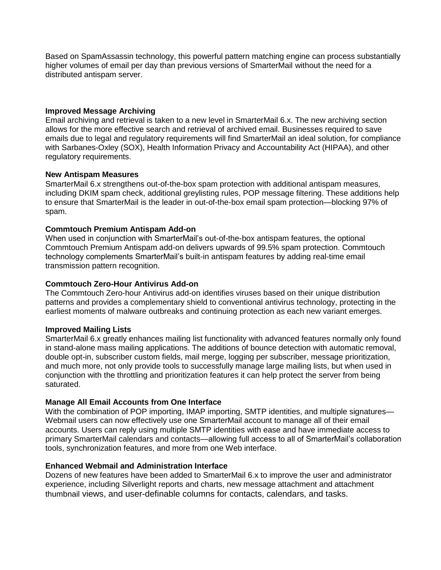Based on SpamAssassin technology, this powerful pattern matching engine can process substantially higher volumes of email per day than previous versions of SmarterMail without the need for a distributed antispam server.

### **Improved Message Archiving**

Email archiving and retrieval is taken to a new level in SmarterMail 6.x. The new archiving section allows for the more effective search and retrieval of archived email. Businesses required to save emails due to legal and regulatory requirements will find SmarterMail an ideal solution, for compliance with Sarbanes-Oxley (SOX), Health Information Privacy and Accountability Act (HIPAA), and other regulatory requirements.

### **New Antispam Measures**

SmarterMail 6.x strengthens out-of-the-box spam protection with additional antispam measures, including DKIM spam check, additional greylisting rules, POP message filtering. These additions help to ensure that SmarterMail is the leader in out-of-the-box email spam protection—blocking 97% of spam.

### **Commtouch Premium Antispam Add-on**

When used in conjunction with SmarterMail's out-of-the-box antispam features, the optional Commtouch Premium Antispam add-on delivers upwards of 99.5% spam protection. Commtouch technology complements SmarterMail's built-in antispam features by adding real-time email transmission pattern recognition.

### **Commtouch Zero-Hour Antivirus Add-on**

The Commtouch Zero-hour Antivirus add-on identifies viruses based on their unique distribution patterns and provides a complementary shield to conventional antivirus technology, protecting in the earliest moments of malware outbreaks and continuing protection as each new variant emerges.

#### **Improved Mailing Lists**

SmarterMail 6.x greatly enhances mailing list functionality with advanced features normally only found in stand-alone mass mailing applications. The additions of bounce detection with automatic removal, double opt-in, subscriber custom fields, mail merge, logging per subscriber, message prioritization, and much more, not only provide tools to successfully manage large mailing lists, but when used in conjunction with the throttling and prioritization features it can help protect the server from being saturated.

### **Manage All Email Accounts from One Interface**

With the combination of POP importing, IMAP importing, SMTP identities, and multiple signatures— Webmail users can now effectively use one SmarterMail account to manage all of their email accounts. Users can reply using multiple SMTP identities with ease and have immediate access to primary SmarterMail calendars and contacts—allowing full access to all of SmarterMail's collaboration tools, synchronization features, and more from one Web interface.

#### **Enhanced Webmail and Administration Interface**

Dozens of new features have been added to SmarterMail 6.x to improve the user and administrator experience, including Silverlight reports and charts, new message attachment and attachment thumbnail views, and user-definable columns for contacts, calendars, and tasks.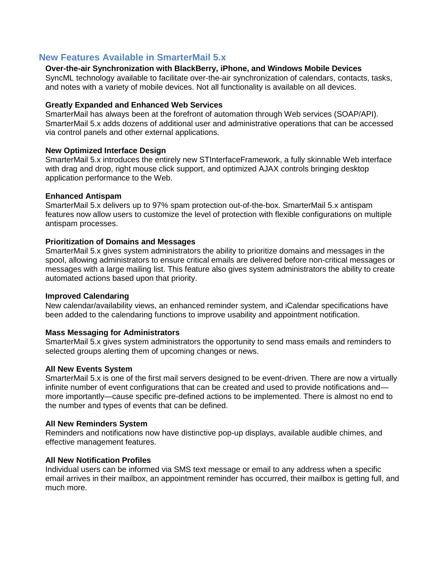# **New Features Available in SmarterMail 5.x**

### **Over-the-air Synchronization with BlackBerry, iPhone, and Windows Mobile Devices**

SyncML technology available to facilitate over-the-air synchronization of calendars, contacts, tasks, and notes with a variety of mobile devices. Not all functionality is available on all devices.

#### **Greatly Expanded and Enhanced Web Services**

SmarterMail has always been at the forefront of automation through Web services (SOAP/API). SmarterMail 5.x adds dozens of additional user and administrative operations that can be accessed via control panels and other external applications.

#### **New Optimized Interface Design**

SmarterMail 5.x introduces the entirely new STInterfaceFramework, a fully skinnable Web interface with drag and drop, right mouse click support, and optimized AJAX controls bringing desktop application performance to the Web.

#### **Enhanced Antispam**

SmarterMail 5.x delivers up to 97% spam protection out-of-the-box. SmarterMail 5.x antispam features now allow users to customize the level of protection with flexible configurations on multiple antispam processes.

#### **Prioritization of Domains and Messages**

SmarterMail 5.x gives system administrators the ability to prioritize domains and messages in the spool, allowing administrators to ensure critical emails are delivered before non-critical messages or messages with a large mailing list. This feature also gives system administrators the ability to create automated actions based upon that priority.

#### **Improved Calendaring**

New calendar/availability views, an enhanced reminder system, and iCalendar specifications have been added to the calendaring functions to improve usability and appointment notification.

#### **Mass Messaging for Administrators**

SmarterMail 5.x gives system administrators the opportunity to send mass emails and reminders to selected groups alerting them of upcoming changes or news.

#### **All New Events System**

SmarterMail 5.x is one of the first mail servers designed to be event-driven. There are now a virtually infinite number of event configurations that can be created and used to provide notifications and more importantly—cause specific pre-defined actions to be implemented. There is almost no end to the number and types of events that can be defined.

#### **All New Reminders System**

Reminders and notifications now have distinctive pop-up displays, available audible chimes, and effective management features.

#### **All New Notification Profiles**

Individual users can be informed via SMS text message or email to any address when a specific email arrives in their mailbox, an appointment reminder has occurred, their mailbox is getting full, and much more.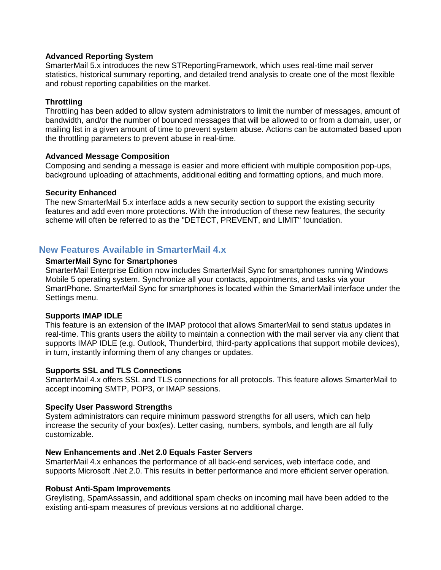### **Advanced Reporting System**

SmarterMail 5.x introduces the new STReportingFramework, which uses real-time mail server statistics, historical summary reporting, and detailed trend analysis to create one of the most flexible and robust reporting capabilities on the market.

### **Throttling**

Throttling has been added to allow system administrators to limit the number of messages, amount of bandwidth, and/or the number of bounced messages that will be allowed to or from a domain, user, or mailing list in a given amount of time to prevent system abuse. Actions can be automated based upon the throttling parameters to prevent abuse in real-time.

### **Advanced Message Composition**

Composing and sending a message is easier and more efficient with multiple composition pop-ups, background uploading of attachments, additional editing and formatting options, and much more.

### **Security Enhanced**

The new SmarterMail 5.x interface adds a new security section to support the existing security features and add even more protections. With the introduction of these new features, the security scheme will often be referred to as the "DETECT, PREVENT, and LIMIT" foundation.

# **New Features Available in SmarterMail 4.x**

### **SmarterMail Sync for Smartphones**

SmarterMail Enterprise Edition now includes SmarterMail Sync for smartphones running Windows Mobile 5 operating system. Synchronize all your contacts, appointments, and tasks via your SmartPhone. SmarterMail Sync for smartphones is located within the SmarterMail interface under the Settings menu.

#### **Supports IMAP IDLE**

This feature is an extension of the IMAP protocol that allows SmarterMail to send status updates in real-time. This grants users the ability to maintain a connection with the mail server via any client that supports IMAP IDLE (e.g. Outlook, Thunderbird, third-party applications that support mobile devices), in turn, instantly informing them of any changes or updates.

#### **Supports SSL and TLS Connections**

SmarterMail 4.x offers SSL and TLS connections for all protocols. This feature allows SmarterMail to accept incoming SMTP, POP3, or IMAP sessions.

#### **Specify User Password Strengths**

System administrators can require minimum password strengths for all users, which can help increase the security of your box(es). Letter casing, numbers, symbols, and length are all fully customizable.

#### **New Enhancements and .Net 2.0 Equals Faster Servers**

SmarterMail 4.x enhances the performance of all back-end services, web interface code, and supports Microsoft .Net 2.0. This results in better performance and more efficient server operation.

#### **Robust Anti-Spam Improvements**

Greylisting, SpamAssassin, and additional spam checks on incoming mail have been added to the existing anti-spam measures of previous versions at no additional charge.